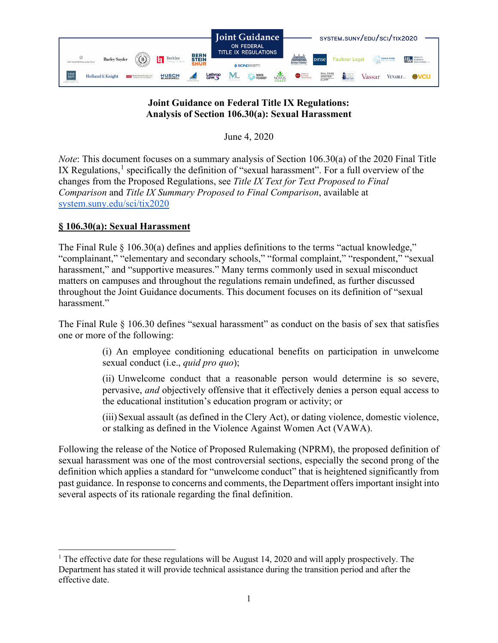

# **Joint Guidance on Federal Title IX Regulations: Analysis of Section 106.30(a): Sexual Harassment**

June 4, 2020

*Note*: This document focuses on a summary analysis of Section 106.30(a) of the 2020 Final Title IX Regulations, $<sup>1</sup>$  $<sup>1</sup>$  $<sup>1</sup>$  specifically the definition of "sexual harassment". For a full overview of the</sup> changes from the Proposed Regulations, see *Title IX Text for Text Proposed to Final Comparison* and *Title IX Summary Proposed to Final Comparison*, available at [system.suny.edu/sci/tix2020](https://system.suny.edu/sci/tix2020/)

## **§ 106.30(a): Sexual Harassment**

The Final Rule  $\S$  106.30(a) defines and applies definitions to the terms "actual knowledge," "complainant," "elementary and secondary schools," "formal complaint," "respondent," "sexual harassment," and "supportive measures." Many terms commonly used in sexual misconduct matters on campuses and throughout the regulations remain undefined, as further discussed throughout the Joint Guidance documents. This document focuses on its definition of "sexual harassment."

The Final Rule § 106.30 defines "sexual harassment" as conduct on the basis of sex that satisfies one or more of the following:

> (i) An employee conditioning educational benefits on participation in unwelcome sexual conduct (i.e., *quid pro quo*);

> (ii) Unwelcome conduct that a reasonable person would determine is so severe, pervasive, *and* objectively offensive that it effectively denies a person equal access to the educational institution's education program or activity; or

> (iii)Sexual assault (as defined in the Clery Act), or dating violence, domestic violence, or stalking as defined in the Violence Against Women Act (VAWA).

Following the release of the Notice of Proposed Rulemaking (NPRM), the proposed definition of sexual harassment was one of the most controversial sections, especially the second prong of the definition which applies a standard for "unwelcome conduct" that is heightened significantly from past guidance. In response to concerns and comments, the Department offers important insight into several aspects of its rationale regarding the final definition.

<span id="page-0-0"></span><sup>&</sup>lt;sup>1</sup> The effective date for these regulations will be August 14, 2020 and will apply prospectively. The Department has stated it will provide technical assistance during the transition period and after the effective date.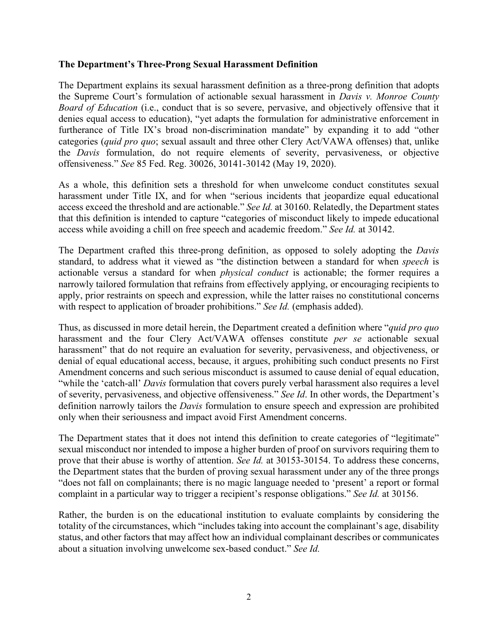#### **The Department's Three-Prong Sexual Harassment Definition**

The Department explains its sexual harassment definition as a three-prong definition that adopts the Supreme Court's formulation of actionable sexual harassment in *Davis v. Monroe County Board of Education* (i.e., conduct that is so severe, pervasive, and objectively offensive that it denies equal access to education), "yet adapts the formulation for administrative enforcement in furtherance of Title IX's broad non-discrimination mandate" by expanding it to add "other categories (*quid pro quo*; sexual assault and three other Clery Act/VAWA offenses) that, unlike the *Davis* formulation, do not require elements of severity, pervasiveness, or objective offensiveness." *See* 85 Fed. Reg. 30026, 30141-30142 (May 19, 2020).

As a whole, this definition sets a threshold for when unwelcome conduct constitutes sexual harassment under Title IX, and for when "serious incidents that jeopardize equal educational access exceed the threshold and are actionable." *See Id.* at 30160. Relatedly, the Department states that this definition is intended to capture "categories of misconduct likely to impede educational access while avoiding a chill on free speech and academic freedom." *See Id.* at 30142.

The Department crafted this three-prong definition, as opposed to solely adopting the *Davis*  standard, to address what it viewed as "the distinction between a standard for when *speech* is actionable versus a standard for when *physical conduct* is actionable; the former requires a narrowly tailored formulation that refrains from effectively applying, or encouraging recipients to apply, prior restraints on speech and expression, while the latter raises no constitutional concerns with respect to application of broader prohibitions." *See Id.* (emphasis added).

Thus, as discussed in more detail herein, the Department created a definition where "*quid pro quo* harassment and the four Clery Act/VAWA offenses constitute *per se* actionable sexual harassment" that do not require an evaluation for severity, pervasiveness, and objectiveness, or denial of equal educational access, because, it argues, prohibiting such conduct presents no First Amendment concerns and such serious misconduct is assumed to cause denial of equal education, "while the 'catch-all' *Davis* formulation that covers purely verbal harassment also requires a level of severity, pervasiveness, and objective offensiveness." *See Id*. In other words, the Department's definition narrowly tailors the *Davis* formulation to ensure speech and expression are prohibited only when their seriousness and impact avoid First Amendment concerns.

The Department states that it does not intend this definition to create categories of "legitimate" sexual misconduct nor intended to impose a higher burden of proof on survivors requiring them to prove that their abuse is worthy of attention. *See Id.* at 30153-30154. To address these concerns, the Department states that the burden of proving sexual harassment under any of the three prongs "does not fall on complainants; there is no magic language needed to 'present' a report or formal complaint in a particular way to trigger a recipient's response obligations." *See Id.* at 30156.

Rather, the burden is on the educational institution to evaluate complaints by considering the totality of the circumstances, which "includes taking into account the complainant's age, disability status, and other factors that may affect how an individual complainant describes or communicates about a situation involving unwelcome sex-based conduct." *See Id.*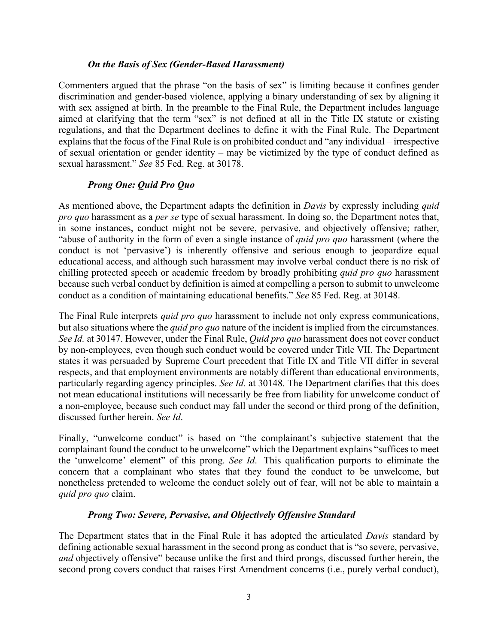#### *On the Basis of Sex (Gender-Based Harassment)*

Commenters argued that the phrase "on the basis of sex" is limiting because it confines gender discrimination and gender-based violence, applying a binary understanding of sex by aligning it with sex assigned at birth. In the preamble to the Final Rule, the Department includes language aimed at clarifying that the term "sex" is not defined at all in the Title IX statute or existing regulations, and that the Department declines to define it with the Final Rule. The Department explains that the focus of the Final Rule is on prohibited conduct and "any individual – irrespective of sexual orientation or gender identity – may be victimized by the type of conduct defined as sexual harassment." *See* 85 Fed. Reg. at 30178.

### *Prong One: Quid Pro Quo*

As mentioned above, the Department adapts the definition in *Davis* by expressly including *quid pro quo* harassment as a *per se* type of sexual harassment. In doing so, the Department notes that, in some instances, conduct might not be severe, pervasive, and objectively offensive; rather, "abuse of authority in the form of even a single instance of *quid pro quo* harassment (where the conduct is not 'pervasive') is inherently offensive and serious enough to jeopardize equal educational access, and although such harassment may involve verbal conduct there is no risk of chilling protected speech or academic freedom by broadly prohibiting *quid pro quo* harassment because such verbal conduct by definition is aimed at compelling a person to submit to unwelcome conduct as a condition of maintaining educational benefits." *See* 85 Fed. Reg. at 30148.

The Final Rule interprets *quid pro quo* harassment to include not only express communications, but also situations where the *quid pro quo* nature of the incident is implied from the circumstances. *See Id.* at 30147. However, under the Final Rule, *Quid pro quo* harassment does not cover conduct by non-employees, even though such conduct would be covered under Title VII. The Department states it was persuaded by Supreme Court precedent that Title IX and Title VII differ in several respects, and that employment environments are notably different than educational environments, particularly regarding agency principles. *See Id.* at 30148. The Department clarifies that this does not mean educational institutions will necessarily be free from liability for unwelcome conduct of a non-employee, because such conduct may fall under the second or third prong of the definition, discussed further herein. *See Id*.

Finally, "unwelcome conduct" is based on "the complainant's subjective statement that the complainant found the conduct to be unwelcome" which the Department explains "suffices to meet the 'unwelcome' element" of this prong. *See Id*. This qualification purports to eliminate the concern that a complainant who states that they found the conduct to be unwelcome, but nonetheless pretended to welcome the conduct solely out of fear, will not be able to maintain a *quid pro quo* claim.

#### *Prong Two: Severe, Pervasive, and Objectively Offensive Standard*

The Department states that in the Final Rule it has adopted the articulated *Davis* standard by defining actionable sexual harassment in the second prong as conduct that is "so severe, pervasive, *and* objectively offensive" because unlike the first and third prongs, discussed further herein, the second prong covers conduct that raises First Amendment concerns (i.e., purely verbal conduct),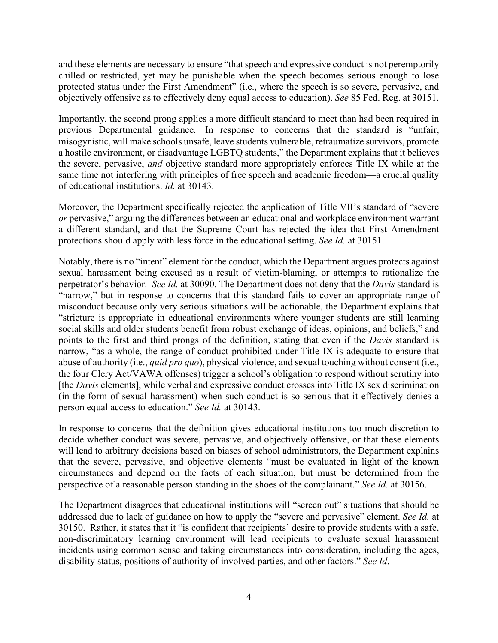and these elements are necessary to ensure "that speech and expressive conduct is not peremptorily chilled or restricted, yet may be punishable when the speech becomes serious enough to lose protected status under the First Amendment" (i.e., where the speech is so severe, pervasive, and objectively offensive as to effectively deny equal access to education). *See* 85 Fed. Reg. at 30151.

Importantly, the second prong applies a more difficult standard to meet than had been required in previous Departmental guidance. In response to concerns that the standard is "unfair, misogynistic, will make schools unsafe, leave students vulnerable, retraumatize survivors, promote a hostile environment, or disadvantage LGBTQ students," the Department explains that it believes the severe, pervasive, *and* objective standard more appropriately enforces Title IX while at the same time not interfering with principles of free speech and academic freedom—a crucial quality of educational institutions. *Id.* at 30143.

Moreover, the Department specifically rejected the application of Title VII's standard of "severe *or* pervasive," arguing the differences between an educational and workplace environment warrant a different standard, and that the Supreme Court has rejected the idea that First Amendment protections should apply with less force in the educational setting. *See Id.* at 30151.

Notably, there is no "intent" element for the conduct, which the Department argues protects against sexual harassment being excused as a result of victim-blaming, or attempts to rationalize the perpetrator's behavior. *See Id.* at 30090. The Department does not deny that the *Davis* standard is "narrow," but in response to concerns that this standard fails to cover an appropriate range of misconduct because only very serious situations will be actionable, the Department explains that "stricture is appropriate in educational environments where younger students are still learning social skills and older students benefit from robust exchange of ideas, opinions, and beliefs," and points to the first and third prongs of the definition, stating that even if the *Davis* standard is narrow, "as a whole, the range of conduct prohibited under Title IX is adequate to ensure that abuse of authority (i.e., *quid pro quo*), physical violence, and sexual touching without consent (i.e., the four Clery Act/VAWA offenses) trigger a school's obligation to respond without scrutiny into [the *Davis* elements], while verbal and expressive conduct crosses into Title IX sex discrimination (in the form of sexual harassment) when such conduct is so serious that it effectively denies a person equal access to education." *See Id.* at 30143.

In response to concerns that the definition gives educational institutions too much discretion to decide whether conduct was severe, pervasive, and objectively offensive, or that these elements will lead to arbitrary decisions based on biases of school administrators, the Department explains that the severe, pervasive, and objective elements "must be evaluated in light of the known circumstances and depend on the facts of each situation, but must be determined from the perspective of a reasonable person standing in the shoes of the complainant." *See Id.* at 30156.

The Department disagrees that educational institutions will "screen out" situations that should be addressed due to lack of guidance on how to apply the "severe and pervasive" element. *See Id.* at 30150. Rather, it states that it "is confident that recipients' desire to provide students with a safe, non-discriminatory learning environment will lead recipients to evaluate sexual harassment incidents using common sense and taking circumstances into consideration, including the ages, disability status, positions of authority of involved parties, and other factors." *See Id*.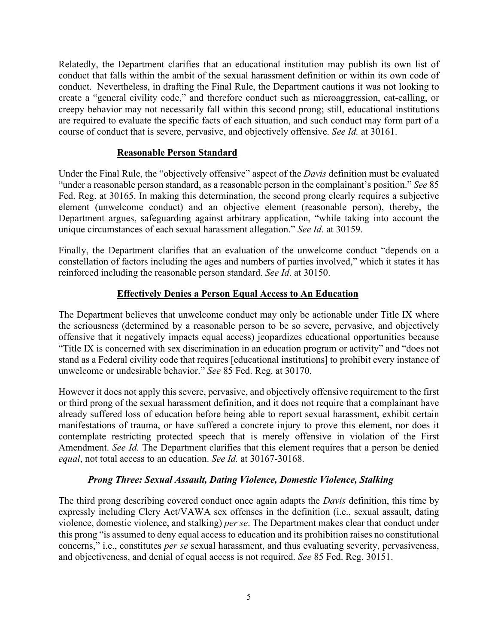Relatedly, the Department clarifies that an educational institution may publish its own list of conduct that falls within the ambit of the sexual harassment definition or within its own code of conduct. Nevertheless, in drafting the Final Rule, the Department cautions it was not looking to create a "general civility code," and therefore conduct such as microaggression, cat-calling, or creepy behavior may not necessarily fall within this second prong; still, educational institutions are required to evaluate the specific facts of each situation, and such conduct may form part of a course of conduct that is severe, pervasive, and objectively offensive. *See Id.* at 30161.

### **Reasonable Person Standard**

Under the Final Rule, the "objectively offensive" aspect of the *Davis* definition must be evaluated "under a reasonable person standard, as a reasonable person in the complainant's position." *See* 85 Fed. Reg. at 30165. In making this determination, the second prong clearly requires a subjective element (unwelcome conduct) and an objective element (reasonable person), thereby, the Department argues, safeguarding against arbitrary application, "while taking into account the unique circumstances of each sexual harassment allegation." *See Id*. at 30159.

Finally, the Department clarifies that an evaluation of the unwelcome conduct "depends on a constellation of factors including the ages and numbers of parties involved," which it states it has reinforced including the reasonable person standard. *See Id*. at 30150.

## **Effectively Denies a Person Equal Access to An Education**

The Department believes that unwelcome conduct may only be actionable under Title IX where the seriousness (determined by a reasonable person to be so severe, pervasive, and objectively offensive that it negatively impacts equal access) jeopardizes educational opportunities because "Title IX is concerned with sex discrimination in an education program or activity" and "does not stand as a Federal civility code that requires [educational institutions] to prohibit every instance of unwelcome or undesirable behavior." *See* 85 Fed. Reg. at 30170.

However it does not apply this severe, pervasive, and objectively offensive requirement to the first or third prong of the sexual harassment definition, and it does not require that a complainant have already suffered loss of education before being able to report sexual harassment, exhibit certain manifestations of trauma, or have suffered a concrete injury to prove this element, nor does it contemplate restricting protected speech that is merely offensive in violation of the First Amendment. *See Id.* The Department clarifies that this element requires that a person be denied *equal*, not total access to an education. *See Id.* at 30167-30168.

## *Prong Three: Sexual Assault, Dating Violence, Domestic Violence, Stalking*

The third prong describing covered conduct once again adapts the *Davis* definition, this time by expressly including Clery Act/VAWA sex offenses in the definition (i.e., sexual assault, dating violence, domestic violence, and stalking) *per se*. The Department makes clear that conduct under this prong "is assumed to deny equal access to education and its prohibition raises no constitutional concerns," i.e., constitutes *per se* sexual harassment, and thus evaluating severity, pervasiveness, and objectiveness, and denial of equal access is not required. *See* 85 Fed. Reg. 30151.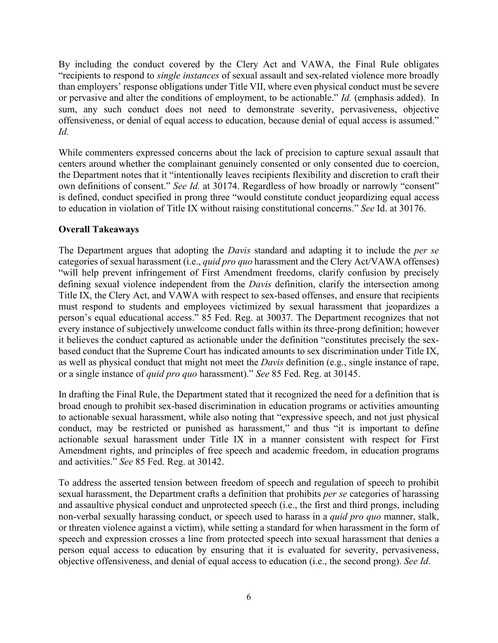By including the conduct covered by the Clery Act and VAWA, the Final Rule obligates "recipients to respond to *single instances* of sexual assault and sex-related violence more broadly than employers' response obligations under Title VII, where even physical conduct must be severe or pervasive and alter the conditions of employment, to be actionable." *Id.* (emphasis added). In sum, any such conduct does not need to demonstrate severity, pervasiveness, objective offensiveness, or denial of equal access to education, because denial of equal access is assumed." *Id.*

While commenters expressed concerns about the lack of precision to capture sexual assault that centers around whether the complainant genuinely consented or only consented due to coercion, the Department notes that it "intentionally leaves recipients flexibility and discretion to craft their own definitions of consent." *See Id.* at 30174. Regardless of how broadly or narrowly "consent" is defined, conduct specified in prong three "would constitute conduct jeopardizing equal access to education in violation of Title IX without raising constitutional concerns." *See* Id. at 30176.

# **Overall Takeaways**

The Department argues that adopting the *Davis* standard and adapting it to include the *per se*  categories of sexual harassment (i.e., *quid pro quo* harassment and the Clery Act/VAWA offenses) "will help prevent infringement of First Amendment freedoms, clarify confusion by precisely defining sexual violence independent from the *Davis* definition, clarify the intersection among Title IX, the Clery Act, and VAWA with respect to sex-based offenses, and ensure that recipients must respond to students and employees victimized by sexual harassment that jeopardizes a person's equal educational access." 85 Fed. Reg. at 30037. The Department recognizes that not every instance of subjectively unwelcome conduct falls within its three-prong definition; however it believes the conduct captured as actionable under the definition "constitutes precisely the sexbased conduct that the Supreme Court has indicated amounts to sex discrimination under Title IX, as well as physical conduct that might not meet the *Davis* definition (e.g., single instance of rape, or a single instance of *quid pro quo* harassment)." *See* 85 Fed. Reg. at 30145.

In drafting the Final Rule, the Department stated that it recognized the need for a definition that is broad enough to prohibit sex-based discrimination in education programs or activities amounting to actionable sexual harassment, while also noting that "expressive speech, and not just physical conduct, may be restricted or punished as harassment," and thus "it is important to define actionable sexual harassment under Title IX in a manner consistent with respect for First Amendment rights, and principles of free speech and academic freedom, in education programs and activities." *See* 85 Fed. Reg. at 30142.

To address the asserted tension between freedom of speech and regulation of speech to prohibit sexual harassment, the Department crafts a definition that prohibits *per se* categories of harassing and assaultive physical conduct and unprotected speech (i.e., the first and third prongs, including non-verbal sexually harassing conduct, or speech used to harass in a *quid pro quo* manner, stalk, or threaten violence against a victim), while setting a standard for when harassment in the form of speech and expression crosses a line from protected speech into sexual harassment that denies a person equal access to education by ensuring that it is evaluated for severity, pervasiveness, objective offensiveness, and denial of equal access to education (i.e., the second prong). *See Id*.